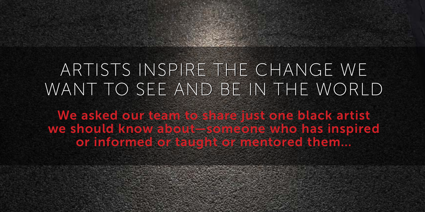# ARTISTS INSPIRE THE CHANGE WE ARTISTS INSPIRE THE CHANGE WE WANT TO SEE AND BE IN THE WORLD WANT TO SEE AND BE IN THE WORLD

We asked our team to share just one black artist we should know about—someone who has inspired or informed or taught or mentored them…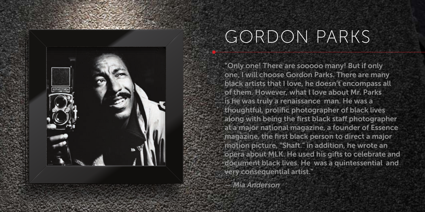

# GORDON PARKS

"Only one! There are sooooo many! But if only one, I will choose Gordon Parks. There are many black artists that I love, he doesn't encompass all of them. However, what I love about Mr. Parks is he was truly a renaissance man. He was a thoughtful, prolific photographer of black lives along with being the first black staff photographer at a major national magazine, a founder of Essence magazine, the first black person to direct a major motion picture, "Shaft." in addition, he wrote an opera about MLK. He used his gifts to celebrate and document black lives. He was a quintessential and very consequential artist."

*— Mia Anderson*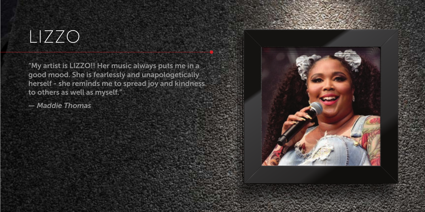#### LIZZO

"My artist is LIZZO!! Her music always puts me in a good mood. She is fearlessly and unapologetically herself - she reminds me to spread joy and kindness to others as well as myself."

*— Maddie Thomas*

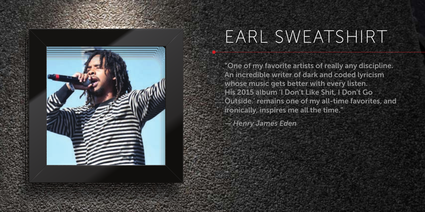

## EARL SWEATSHIRT

"One of my favorite artists of really any discipline. An incredible writer of dark and coded lyricism whose music gets better with every listen. His 2015 album 'I Don't Like Shit, I Don't Go Outside.' remains one of my all-time favorites, and ironically, inspires me all the time."

*— Henry James Eden*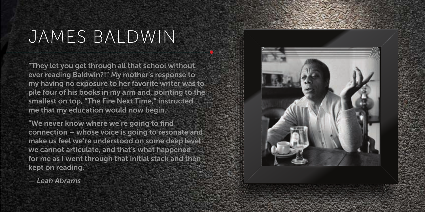#### JAMES BALDWIN

"They let you get through all that school without ever reading Baldwin?!" My mother's response to my having no exposure to her favorite writer was to pile four of his books in my arm and, pointing to the smallest on top, "The Fire Next Time," instructed me that my education would now begin.

"We never know where we're going to find connection – whose voice is going to resonate and make us feel we're understood on some deep level we cannot articulate, and that's what happened for me as I went through that initial stack and then kept on reading."

*— Leah Abrams*

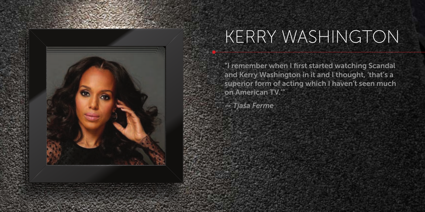

## KERRY WASHINGTON

"I remember when I first started watching Scandal and Kerry Washington in it and I thought, 'that's a superior form of acting which I haven't seen much on American TV.'"

*— Tjaša Ferme*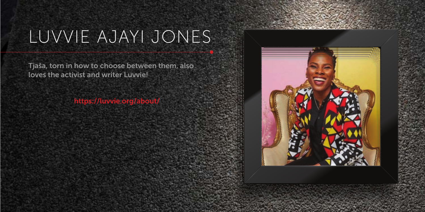# LUVVIE AJAYI JONES

Tjaša, torn in how to choose between them, also loves the activist and writer Luvvie!

https://luvvie.org/about/

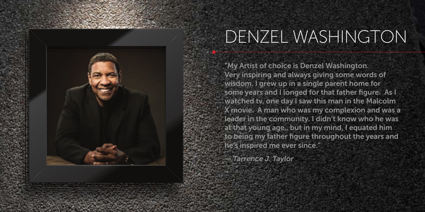

## DENZEL WASHINGTON

"My Artist of choice is Denzel Washington. Very inspiring and always giving some words of wisdom. I grew up in a single parent home for some years and I longed for that father figure. As I watched tv, one day I saw this man in the Malcolm X movie. A man who was my complexion and was a leader in the community. I didn't know who he was at that young age,, but in my mind, I equated him to being my father figure throughout the years and he's inspired me ever since."

*— Tarrence J. Taylor*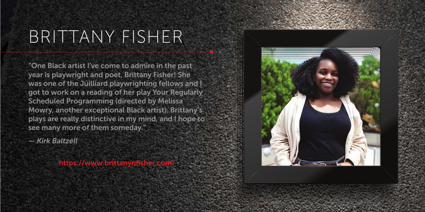#### BRITTANY FISHER

"One Black artist I've come to admire in the past year is playwright and poet, Brittany Fisher! She was one of the Juilliard playwrighting fellows and I got to work on a reading of her play Your Regularly Scheduled Programming (directed by Melissa Mowry, another exceptional Black artist). Brittany's plays are really distinctive in my mind, and I hope to see many more of them someday."

*— Kirk Baltzell*

https://www.brittanynfisher.com/

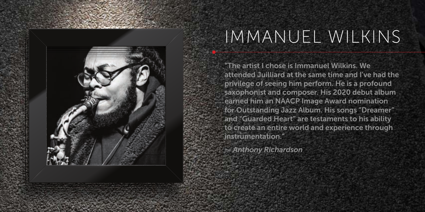

#### IMMANUEL WILKINS

"The artist I chose is Immanuel Wilkins. We attended Juilliard at the same time and I've had the privilege of seeing him perform. He is a profound saxophonist and composer. His 2020 debut album earned him an NAACP Image Award nomination for Outstanding Jazz Album. His songs "Dreamer" and "Guarded Heart" are testaments to his ability to create an entire world and experience through instrumentation."

*— Anthony Richardson*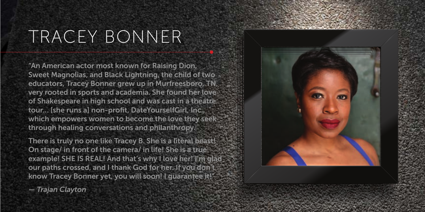# TRACEY BONNER

"An American actor most known for Raising Dion, Sweet Magnolias, and Black Lightning, the child of two educators, Tracey Bonner grew up in Murfreesboro, TN, very rooted in sports and academia. She found her love of Shakespeare in high school and was cast in a theatre tour… [she runs a] non-profit, DateYourselfGirl, Inc., which empowers women to become the love they seek through healing conversations and philanthropy.

There is truly no one like Tracey B. She is a literal beast! On stage/ in front of the camera/ in life! She is a true example! SHE IS REAL! And that's why I love her! I'm glad our paths crossed, and I thank God for her. If you don't know Tracey Bonner yet, you will soon! I guarantee it!"



*— Trajan Clayton*